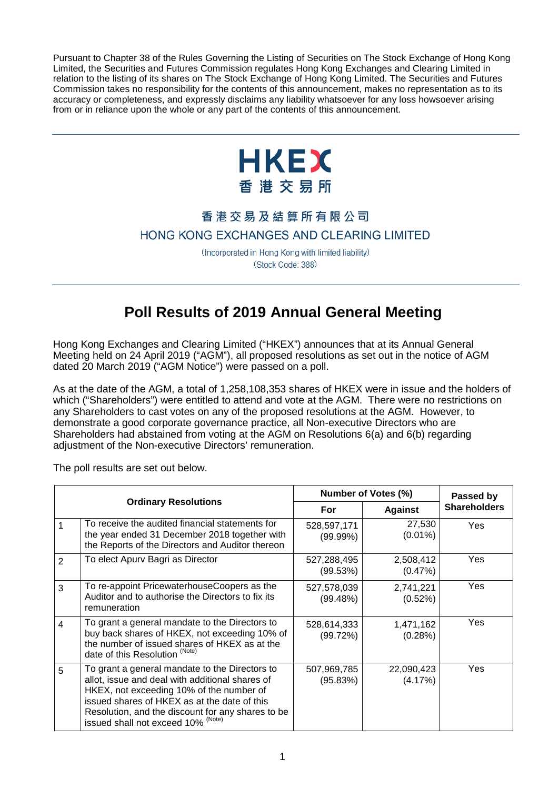Pursuant to Chapter 38 of the Rules Governing the Listing of Securities on The Stock Exchange of Hong Kong Limited, the Securities and Futures Commission regulates Hong Kong Exchanges and Clearing Limited in relation to the listing of its shares on The Stock Exchange of Hong Kong Limited. The Securities and Futures Commission takes no responsibility for the contents of this announcement, makes no representation as to its accuracy or completeness, and expressly disclaims any liability whatsoever for any loss howsoever arising from or in reliance upon the whole or any part of the contents of this announcement.



## 香港交易及結算所有限公司

## HONG KONG EXCHANGES AND CLEARING LIMITED

(Incorporated in Hong Kong with limited liability) (Stock Code: 388)

## **Poll Results of 2019 Annual General Meeting**

Hong Kong Exchanges and Clearing Limited ("HKEX") announces that at its Annual General Meeting held on 24 April 2019 ("AGM"), all proposed resolutions as set out in the notice of AGM dated 20 March 2019 ("AGM Notice") were passed on a poll.

As at the date of the AGM, a total of 1,258,108,353 shares of HKEX were in issue and the holders of which ("Shareholders") were entitled to attend and vote at the AGM. There were no restrictions on any Shareholders to cast votes on any of the proposed resolutions at the AGM. However, to demonstrate a good corporate governance practice, all Non-executive Directors who are Shareholders had abstained from voting at the AGM on Resolutions 6(a) and 6(b) regarding adjustment of the Non-executive Directors' remuneration.

The poll results are set out below.

| <b>Ordinary Resolutions</b> |                                                                                                                                                                                                                                                                                       | Number of Votes (%)        |                       | Passed by           |
|-----------------------------|---------------------------------------------------------------------------------------------------------------------------------------------------------------------------------------------------------------------------------------------------------------------------------------|----------------------------|-----------------------|---------------------|
|                             |                                                                                                                                                                                                                                                                                       | For                        | <b>Against</b>        | <b>Shareholders</b> |
|                             | To receive the audited financial statements for<br>the year ended 31 December 2018 together with<br>the Reports of the Directors and Auditor thereon                                                                                                                                  | 528,597,171<br>$(99.99\%)$ | 27,530<br>$(0.01\%)$  | Yes                 |
| $\overline{2}$              | To elect Apurv Bagri as Director                                                                                                                                                                                                                                                      | 527,288,495<br>(99.53%)    | 2,508,412<br>(0.47%)  | Yes                 |
| 3                           | To re-appoint PricewaterhouseCoopers as the<br>Auditor and to authorise the Directors to fix its<br>remuneration                                                                                                                                                                      | 527,578,039<br>(99.48%)    | 2,741,221<br>(0.52%)  | Yes                 |
| 4                           | To grant a general mandate to the Directors to<br>buy back shares of HKEX, not exceeding 10% of<br>the number of issued shares of HKEX as at the<br>date of this Resolution (Note)                                                                                                    | 528,614,333<br>(99.72%)    | 1,471,162<br>(0.28%)  | Yes                 |
| 5                           | To grant a general mandate to the Directors to<br>allot, issue and deal with additional shares of<br>HKEX, not exceeding 10% of the number of<br>issued shares of HKEX as at the date of this<br>Resolution, and the discount for any shares to be issued shall not exceed 10% (Note) | 507,969,785<br>(95.83%)    | 22,090,423<br>(4.17%) | Yes                 |